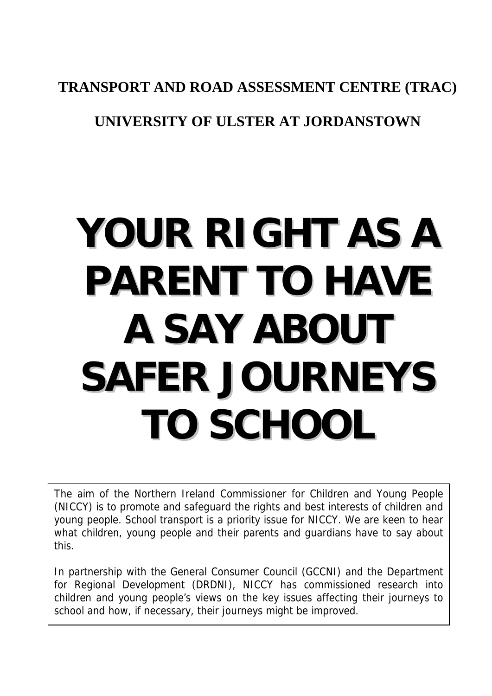#### **TRANSPORT AND ROAD ASSESSMENT CENTRE (TRAC)**

#### **UNIVERSITY OF ULSTER AT JORDANSTOWN**

# **YOUR RIGHT AS A PARENT TO HAVE A SAY ABOUT SAFER JOURNEYS TO SCHOOL**

The aim of the Northern Ireland Commissioner for Children and Young People (NICCY) is to promote and safeguard the rights and best interests of children and young people. School transport is a priority issue for NICCY. We are keen to hear what children, young people and their parents and guardians have to say about this.

In partnership with the General Consumer Council (GCCNI) and the Department for Regional Development (DRDNI), NICCY has commissioned research into children and young people's views on the key issues affecting their journeys to school and how, if necessary, their journeys might be improved.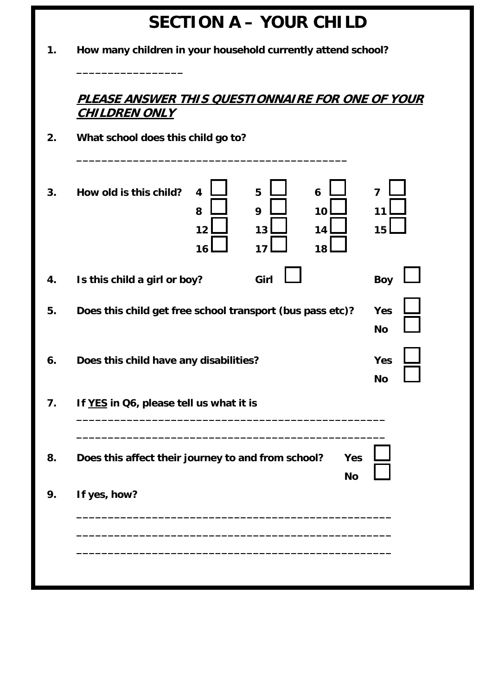| <b>SECTION A - YOUR CHILD</b>                                                                                                    |
|----------------------------------------------------------------------------------------------------------------------------------|
| How many children in your household currently attend school?                                                                     |
| <u>PLEASE ANSWER THIS OUESTIONNAIRE FOR ONE OF YOUR</u><br><u>CHILDREN ONLY</u>                                                  |
| What school does this child go to?                                                                                               |
| How old is this child?<br>5<br>$\overline{\mathbf{4}}$<br>6<br>7<br>9<br>8<br>10<br>11<br>14<br>12<br>13<br>15<br>16<br>18<br>17 |
| Girl<br>Is this child a girl or boy?<br><b>Boy</b>                                                                               |
| Does this child get free school transport (bus pass etc)?<br>Yes<br><b>No</b>                                                    |
| Yes<br>Does this child have any disabilities?<br><b>No</b>                                                                       |
| If YES in Q6, please tell us what it is                                                                                          |
|                                                                                                                                  |
| Does this affect their journey to and from school?<br><b>Yes</b><br><b>No</b>                                                    |
| If yes, how?                                                                                                                     |
|                                                                                                                                  |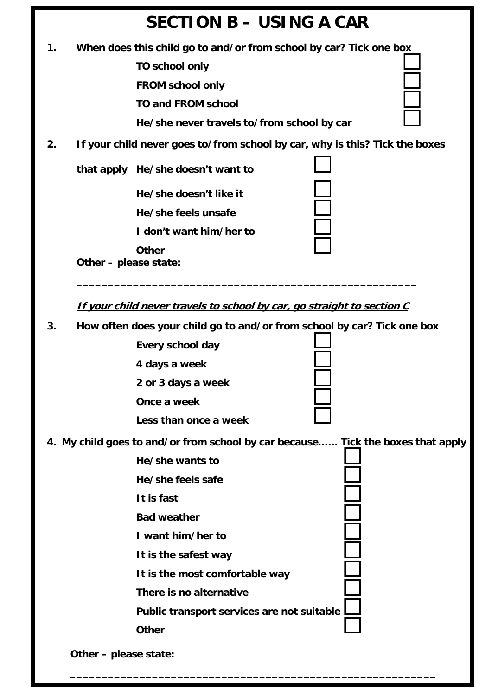

**3. How often does your child go to and/or from school by car? Tick one box** 

| Every school day      |
|-----------------------|
| 4 days a week         |
| 2 or 3 days a week    |
| Once a week           |
| Less than once a week |

**4. My child goes to and/or from school by car because…… Tick the boxes that apply** 

 **He/she wants to He/she feels safe It is fast Bad weather I want him/her to It is the safest way It is the most comfortable way There is no alternative Public transport services are not suitable Other Other – please state:**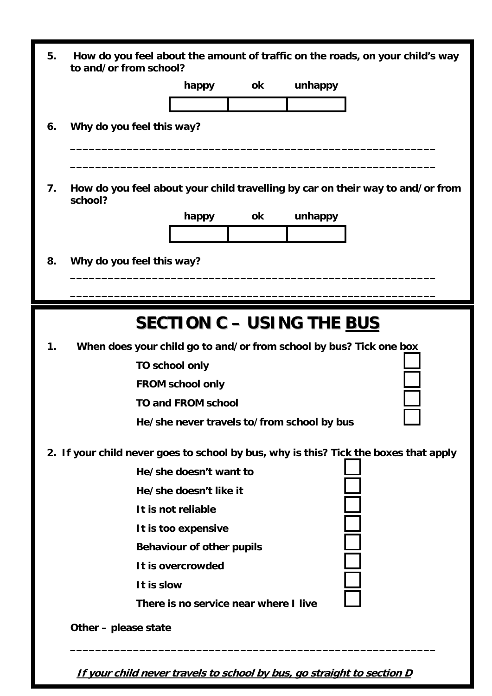| 5. | How do you feel about the amount of traffic on the roads, on your child's way<br>to and/or from school? |                                       |    |                                            |  |  |
|----|---------------------------------------------------------------------------------------------------------|---------------------------------------|----|--------------------------------------------|--|--|
|    |                                                                                                         | happy                                 | ok | unhappy                                    |  |  |
|    |                                                                                                         |                                       |    |                                            |  |  |
| 6. | Why do you feel this way?                                                                               |                                       |    |                                            |  |  |
|    |                                                                                                         |                                       |    |                                            |  |  |
| 7. | How do you feel about your child travelling by car on their way to and/or from<br>school?               |                                       |    |                                            |  |  |
|    |                                                                                                         | happy                                 | ok | unhappy                                    |  |  |
|    |                                                                                                         |                                       |    |                                            |  |  |
| 8. | Why do you feel this way?                                                                               |                                       |    |                                            |  |  |
|    |                                                                                                         |                                       |    |                                            |  |  |
|    |                                                                                                         |                                       |    |                                            |  |  |
|    |                                                                                                         |                                       |    | <b>SECTION C - USING THE BUS</b>           |  |  |
| 1. | When does your child go to and/or from school by bus? Tick one box                                      |                                       |    |                                            |  |  |
|    |                                                                                                         | TO school only                        |    |                                            |  |  |
|    |                                                                                                         | <b>FROM school only</b>               |    |                                            |  |  |
|    |                                                                                                         | <b>TO and FROM school</b>             |    |                                            |  |  |
|    |                                                                                                         |                                       |    | He/she never travels to/from school by bus |  |  |
|    | 2. If your child never goes to school by bus, why is this? Tick the boxes that apply                    |                                       |    |                                            |  |  |
|    |                                                                                                         | He/she doesn't want to                |    |                                            |  |  |
|    |                                                                                                         | He/she doesn't like it                |    |                                            |  |  |
|    |                                                                                                         | It is not reliable                    |    |                                            |  |  |
|    |                                                                                                         | It is too expensive                   |    |                                            |  |  |
|    |                                                                                                         | <b>Behaviour of other pupils</b>      |    |                                            |  |  |
|    |                                                                                                         | It is overcrowded                     |    |                                            |  |  |
|    | It is slow                                                                                              |                                       |    |                                            |  |  |
|    |                                                                                                         | There is no service near where I live |    |                                            |  |  |
|    | Other – please state                                                                                    |                                       |    |                                            |  |  |
|    |                                                                                                         |                                       |    |                                            |  |  |

**If your child never travels to school by bus, go straight to section D**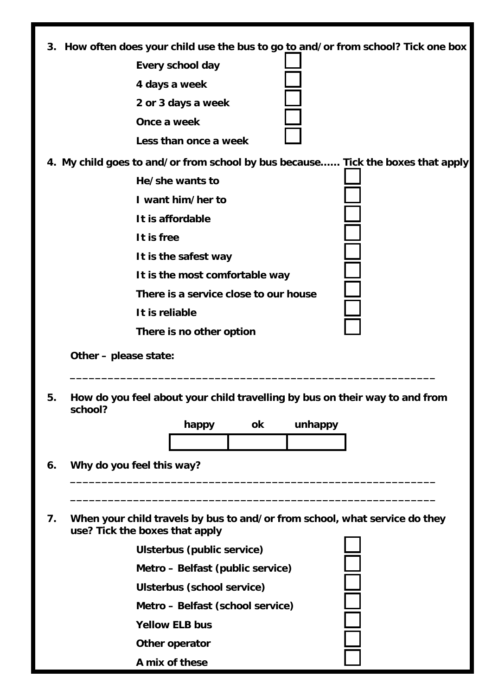| 3. How often does your child use the bus to go to and/or from school? Tick one box |                                                                                                 |  |  |  |  |
|------------------------------------------------------------------------------------|-------------------------------------------------------------------------------------------------|--|--|--|--|
|                                                                                    | Every school day<br>4 days a week<br>2 or 3 days a week<br>Once a week<br>Less than once a week |  |  |  |  |
|                                                                                    | 4. My child goes to and/or from school by bus because Tick the boxes that apply                 |  |  |  |  |
|                                                                                    | He/she wants to                                                                                 |  |  |  |  |
|                                                                                    | I want him/her to                                                                               |  |  |  |  |
|                                                                                    | It is affordable                                                                                |  |  |  |  |
|                                                                                    | It is free                                                                                      |  |  |  |  |
|                                                                                    | It is the safest way                                                                            |  |  |  |  |
|                                                                                    | It is the most comfortable way                                                                  |  |  |  |  |
|                                                                                    | There is a service close to our house                                                           |  |  |  |  |
|                                                                                    | It is reliable                                                                                  |  |  |  |  |
|                                                                                    | There is no other option                                                                        |  |  |  |  |
|                                                                                    | Other - please state:                                                                           |  |  |  |  |
| 5.                                                                                 | How do you feel about your child travelling by bus on their way to and from<br>school?          |  |  |  |  |
|                                                                                    | ok<br>unhappy<br>happy                                                                          |  |  |  |  |
|                                                                                    |                                                                                                 |  |  |  |  |
| 6.                                                                                 | Why do you feel this way?                                                                       |  |  |  |  |

**7. When your child travels by bus to and/or from school, what service do they use? Tick the boxes that apply** 

| Ulsterbus (public service)       |
|----------------------------------|
| Metro – Belfast (public service) |
| Ulsterbus (school service)       |
| Metro - Belfast (school service) |
| <b>Yellow ELB bus</b>            |
| Other operator                   |
| A mix of these                   |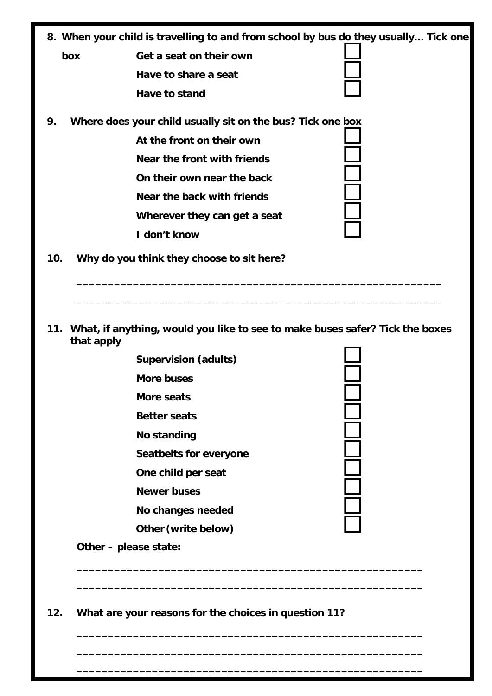|  |  | 8. When your child is travelling to and from school by bus do they usually Tick one |
|--|--|-------------------------------------------------------------------------------------|
|  |  |                                                                                     |

**box Get a seat on their own Have to share a seat Have to stand** 

9. Where does your child usually sit on the bus? Tick one

 **At the front on their own** 

 **Near the front with friends** 

 **On their own near the back** 

 **Near the back with friends** 

 **Wherever they can get a seat** 

 **I don't know** 

| ie box |  |
|--------|--|
|        |  |
|        |  |
|        |  |
|        |  |
|        |  |

- **10. Why do you think they choose to sit here?**
- **11. What, if anything, would you like to see to make buses safer? Tick the boxes that apply**

**\_\_\_\_\_\_\_\_\_\_\_\_\_\_\_\_\_\_\_\_\_\_\_\_\_\_\_\_\_\_\_\_\_\_\_\_\_\_\_\_\_\_\_\_\_\_\_\_\_\_\_\_\_\_\_** 

**\_\_\_\_\_\_\_\_\_\_\_\_\_\_\_\_\_\_\_\_\_\_\_\_\_\_\_\_\_\_\_\_\_\_\_\_\_\_\_\_\_\_\_\_\_\_\_\_\_\_\_\_\_\_\_** 

 **\_\_\_\_\_\_\_\_\_\_\_\_\_\_\_\_\_\_\_\_\_\_\_\_\_\_\_\_\_\_\_\_\_\_\_\_\_\_\_\_\_\_\_\_\_\_\_\_\_\_\_\_\_\_\_** 

 **\_\_\_\_\_\_\_\_\_\_\_\_\_\_\_\_\_\_\_\_\_\_\_\_\_\_\_\_\_\_\_\_\_\_\_\_\_\_\_\_\_\_\_\_\_\_\_\_\_\_\_\_\_\_\_** 

 **\_\_\_\_\_\_\_\_\_\_\_\_\_\_\_\_\_\_\_\_\_\_\_\_\_\_\_\_\_\_\_\_\_\_\_\_\_\_\_\_\_\_\_\_\_\_\_\_\_\_\_\_\_\_\_** 

 **\_\_\_\_\_\_\_\_\_\_\_\_\_\_\_\_\_\_\_\_\_\_\_\_\_\_\_\_\_\_\_\_\_\_\_\_\_\_\_\_\_\_\_\_\_\_\_\_\_\_\_\_\_\_\_\_\_\_** 

 **\_\_\_\_\_\_\_\_\_\_\_\_\_\_\_\_\_\_\_\_\_\_\_\_\_\_\_\_\_\_\_\_\_\_\_\_\_\_\_\_\_\_\_\_\_\_\_\_\_\_\_\_\_\_\_\_\_\_**

 **Supervision (adults)** 

 **More buses** 

 **More seats** 

 **Better seats** 

 **No standing** 

 **Seatbelts for everyone** 

 **One child per seat** 

 **Newer buses** 

 **No changes needed** 

**Other (write below)** 

**Other – please state:** 

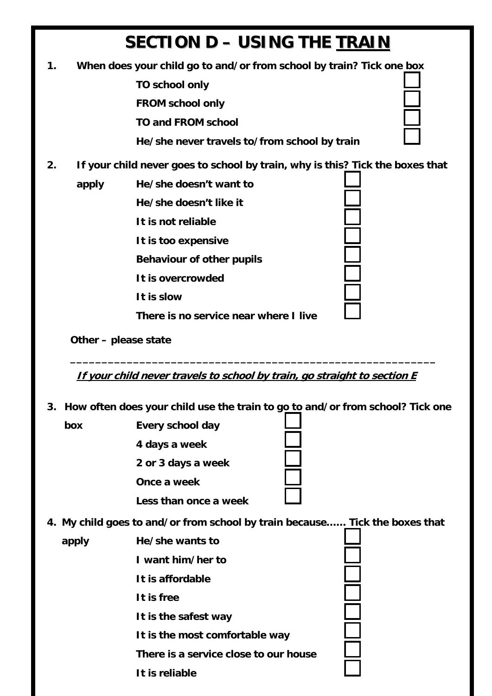## **SECTION D – USING THE TRAIN**

- **1. When does your child go to and/or from school by train? Tick one box** 
	- **TO school only**
	- **FROM school only**
	- **TO and FROM school**

 **He/she never travels to/from school by train** 

- **2. If your child never goes to school by train, why is this? Tick the boxes that** 
	- **apply He/she doesn't want to** 
		- **He/she doesn't like it**
		- **It is not reliable**
		- **It is too expensive**
		- **Behaviour of other pupils**
		- **It is overcrowded**
		- **It is slow**

 **There is no service near where I live** 

**Other – please state** 

**If your child never travels to school by train, go straight to section E**

**\_\_\_\_\_\_\_\_\_\_\_\_\_\_\_\_\_\_\_\_\_\_\_\_\_\_\_\_\_\_\_\_\_\_\_\_\_\_\_\_\_\_\_\_\_\_\_\_\_\_\_\_\_\_\_\_\_\_** 

**3. How often does your child use the train to go to and/or from school? Tick one** 

| box   | Every school day                                                            |
|-------|-----------------------------------------------------------------------------|
|       | 4 days a week                                                               |
|       | 2 or 3 days a week                                                          |
|       | Once a week                                                                 |
|       | Less than once a week                                                       |
|       | 4. My child goes to and/or from school by train because Tick the boxes that |
| apply | He/she wants to                                                             |
|       | I want him/her to                                                           |
|       | It is affordable                                                            |
|       | It is free                                                                  |
|       | It is the safest way                                                        |
|       | It is the most comfortable way                                              |
|       | There is a service close to our house                                       |
|       | It is reliable                                                              |
|       |                                                                             |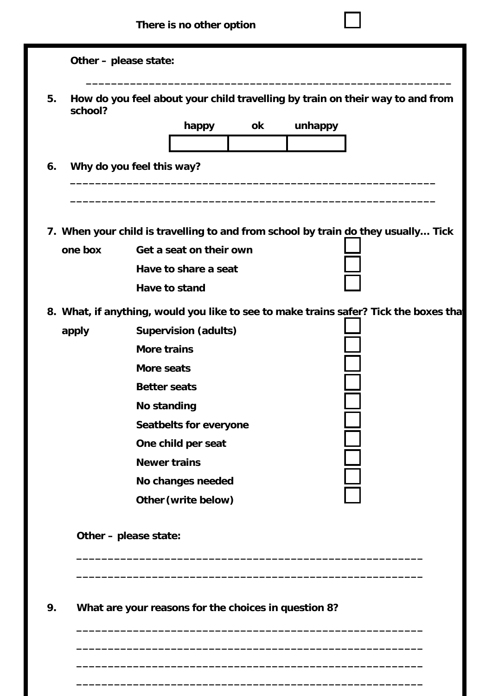|                   | Other - please state:                                                                |  |  |
|-------------------|--------------------------------------------------------------------------------------|--|--|
| 5.<br>school?     | How do you feel about your child travelling by train on their way to and from        |  |  |
|                   | unhappy<br>ok<br>happy                                                               |  |  |
|                   |                                                                                      |  |  |
| 6.                | Why do you feel this way?                                                            |  |  |
|                   |                                                                                      |  |  |
|                   | 7. When your child is travelling to and from school by train do they usually Tick    |  |  |
| one box           | Get a seat on their own                                                              |  |  |
|                   | Have to share a seat                                                                 |  |  |
|                   | Have to stand                                                                        |  |  |
|                   | 8. What, if anything, would you like to see to make trains safer? Tick the boxes tha |  |  |
| apply             | <b>Supervision (adults)</b>                                                          |  |  |
|                   | <b>More trains</b>                                                                   |  |  |
|                   | More seats                                                                           |  |  |
|                   | <b>Better seats</b>                                                                  |  |  |
|                   | <b>No standing</b>                                                                   |  |  |
|                   | Seatbelts for everyone                                                               |  |  |
|                   | One child per seat                                                                   |  |  |
|                   | <b>Newer trains</b>                                                                  |  |  |
| No changes needed |                                                                                      |  |  |
|                   | Other (write below)                                                                  |  |  |
|                   | Other - please state:                                                                |  |  |
|                   |                                                                                      |  |  |

**9. What are your reasons for the choices in question 8?** 

 **\_\_\_\_\_\_\_\_\_\_\_\_\_\_\_\_\_\_\_\_\_\_\_\_\_\_\_\_\_\_\_\_\_\_\_\_\_\_\_\_\_\_\_\_\_\_\_\_\_\_\_\_\_\_\_ \_\_\_\_\_\_\_\_\_\_\_\_\_\_\_\_\_\_\_\_\_\_\_\_\_\_\_\_\_\_\_\_\_\_\_\_\_\_\_\_\_\_\_\_\_\_\_\_\_\_\_\_\_\_\_** 

 **\_\_\_\_\_\_\_\_\_\_\_\_\_\_\_\_\_\_\_\_\_\_\_\_\_\_\_\_\_\_\_\_\_\_\_\_\_\_\_\_\_\_\_\_\_\_\_\_\_\_\_\_\_\_\_**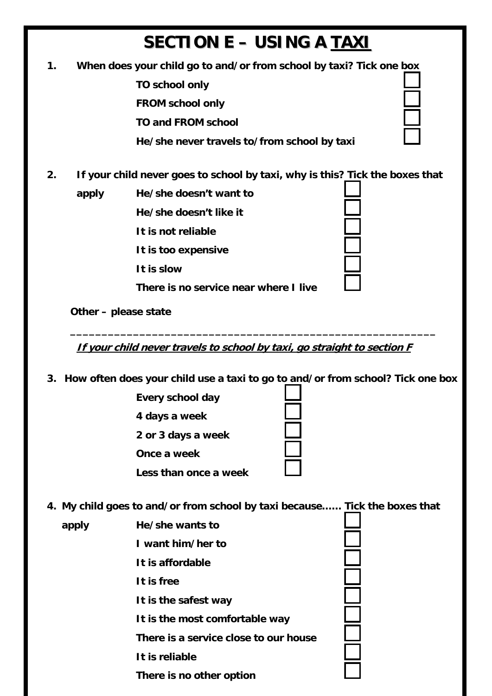# **SECTION E – USING A TAXI**

**1. When does your child go to and/or from school by taxi? Tick one box** 

 **TO school only FROM school only** 

 **TO and FROM school** 

 **He/she never travels to/from school by taxi** 

**2. If your child never goes to school by taxi, why is this? Tick the boxes that** 

**apply He/she doesn't want to** 

**He/she doesn't like it** 

 **It is not reliable** 

 **It is too expensive** 

 **It is slow** 

 **There is no service near where I live** 

| ı |  | I |
|---|--|---|
|   |  |   |
|   |  |   |
|   |  |   |
|   |  |   |
|   |  |   |
|   |  |   |

**Other – please state** 

**If your child never travels to school by taxi, go straight to section F**

**3. How often does your child use a taxi to go to and/or from school? Tick one box** 

**\_\_\_\_\_\_\_\_\_\_\_\_\_\_\_\_\_\_\_\_\_\_\_\_\_\_\_\_\_\_\_\_\_\_\_\_\_\_\_\_\_\_\_\_\_\_\_\_\_\_\_\_\_\_\_\_\_\_** 

| Every school day      |
|-----------------------|
| 4 days a week         |
| 2 or 3 days a week    |
| Once a week           |
| Less than once a week |

**4. My child goes to and/or from school by taxi because…… Tick the boxes that** 

| apply | He/she wants to                       |
|-------|---------------------------------------|
|       | I want him/her to                     |
|       | It is affordable                      |
|       | It is free                            |
|       | It is the safest way                  |
|       | It is the most comfortable way        |
|       | There is a service close to our house |
|       | It is reliable                        |
|       | There is no other option              |
|       |                                       |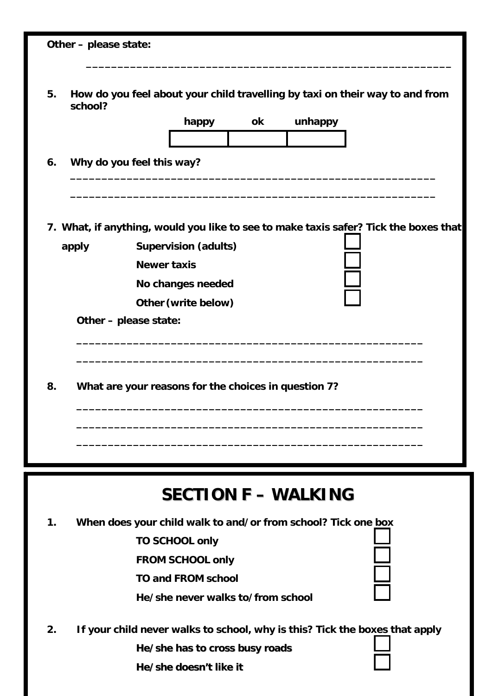|    | Other - please state: |                                                                                      |
|----|-----------------------|--------------------------------------------------------------------------------------|
|    |                       |                                                                                      |
| 5. | school?               | How do you feel about your child travelling by taxi on their way to and from         |
|    |                       | happy<br>ok<br>unhappy                                                               |
|    |                       |                                                                                      |
| 6. |                       | Why do you feel this way?                                                            |
|    |                       | 7. What, if anything, would you like to see to make taxis safer? Tick the boxes that |
|    | apply                 | <b>Supervision (adults)</b>                                                          |
|    |                       | <b>Newer taxis</b>                                                                   |
|    |                       | No changes needed                                                                    |
|    |                       | Other (write below)                                                                  |
|    |                       | Other - please state:                                                                |
| 8. |                       | What are your reasons for the choices in question 7?                                 |
|    |                       |                                                                                      |
|    |                       | <b>SECTION F - WALKING</b>                                                           |
| 1. |                       | When does your child walk to and/or from school? Tick one box                        |
|    |                       | <b>TO SCHOOL only</b>                                                                |
|    |                       | <b>FROM SCHOOL only</b>                                                              |
|    |                       | <b>TO and FROM school</b>                                                            |
|    |                       | He/she never walks to/from school                                                    |
|    |                       |                                                                                      |
| 2. |                       | If your child never walks to school, why is this? Tick the boxes that apply          |
|    |                       | He/she has to cross busy roads                                                       |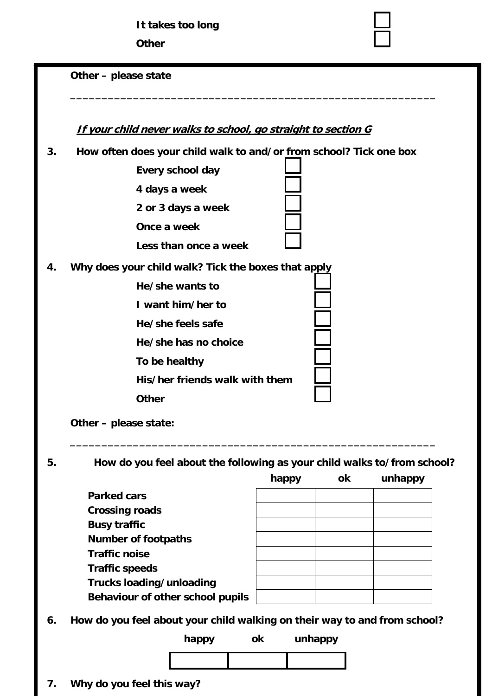#### **Other – please state**

**If your child never walks to school, go straight to section G**

**3. How often does your child walk to and/or from school? Tick one box** 

**\_\_\_\_\_\_\_\_\_\_\_\_\_\_\_\_\_\_\_\_\_\_\_\_\_\_\_\_\_\_\_\_\_\_\_\_\_\_\_\_\_\_\_\_\_\_\_\_\_\_\_\_\_\_\_\_\_\_** 

|    | Every school day                                                                                                                         |  |
|----|------------------------------------------------------------------------------------------------------------------------------------------|--|
|    | 4 days a week                                                                                                                            |  |
|    | 2 or 3 days a week                                                                                                                       |  |
|    | Once a week                                                                                                                              |  |
|    | Less than once a week                                                                                                                    |  |
| 4. | Why does your child walk? Tick the boxes that apply<br>He/she wants to<br>I want him/her to<br>He/she feels safe<br>He/she has no choice |  |
|    | To be healthy                                                                                                                            |  |
|    | His/her friends walk with them                                                                                                           |  |
|    | <b>Other</b>                                                                                                                             |  |
|    |                                                                                                                                          |  |

 **Other – please state:** 

**5. How do you feel about the following as your child walks to/from school?** 

 **\_\_\_\_\_\_\_\_\_\_\_\_\_\_\_\_\_\_\_\_\_\_\_\_\_\_\_\_\_\_\_\_\_\_\_\_\_\_\_\_\_\_\_\_\_\_\_\_\_\_\_\_\_\_\_\_\_\_** 

|                                  | happy | ok | unhappy |
|----------------------------------|-------|----|---------|
| <b>Parked cars</b>               |       |    |         |
| <b>Crossing roads</b>            |       |    |         |
| <b>Busy traffic</b>              |       |    |         |
| <b>Number of footpaths</b>       |       |    |         |
| <b>Traffic noise</b>             |       |    |         |
| <b>Traffic speeds</b>            |       |    |         |
| Trucks loading/unloading         |       |    |         |
| Behaviour of other school pupils |       |    |         |

**6. How do you feel about your child walking on their way to and from school?** 

**happy ok unhappy** 



**7. Why do you feel this way?**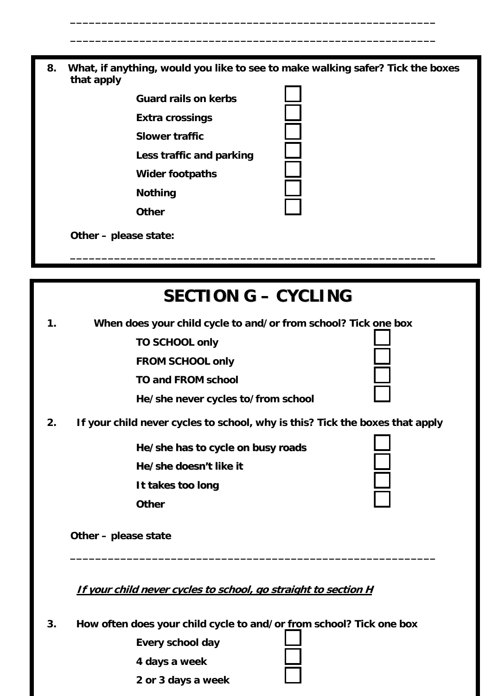**8. What, if anything, would you like to see to make walking safer? Tick the boxes that apply** 

 **\_\_\_\_\_\_\_\_\_\_\_\_\_\_\_\_\_\_\_\_\_\_\_\_\_\_\_\_\_\_\_\_\_\_\_\_\_\_\_\_\_\_\_\_\_\_\_\_\_\_\_\_\_\_\_\_\_\_** 

 **\_\_\_\_\_\_\_\_\_\_\_\_\_\_\_\_\_\_\_\_\_\_\_\_\_\_\_\_\_\_\_\_\_\_\_\_\_\_\_\_\_\_\_\_\_\_\_\_\_\_\_\_\_\_\_\_\_\_** 



### **SECTION G – CYCLING**

**\_\_\_\_\_\_\_\_\_\_\_\_\_\_\_\_\_\_\_\_\_\_\_\_\_\_\_\_\_\_\_\_\_\_\_\_\_\_\_\_\_\_\_\_\_\_\_\_\_\_\_\_\_\_\_\_\_\_** 

**1. When does your child cycle to and/or from school? Tick one box** 

 **TO SCHOOL only** 

 **FROM SCHOOL only** 

 **TO and FROM school** 

 **He/she never cycles to/from school** 

**2. If your child never cycles to school, why is this? Tick the boxes that apply** 

**He/she has to cycle on busy roads**

**He/she doesn't like it**

**It takes too long**

**Other**

**Other – please state** 

**If your child never cycles to school, go straight to section H**

**3. How often does your child cycle to and/or from school? Tick one box** 

| Every school day   |  |
|--------------------|--|
| 4 days a week      |  |
| 2 or 3 days a week |  |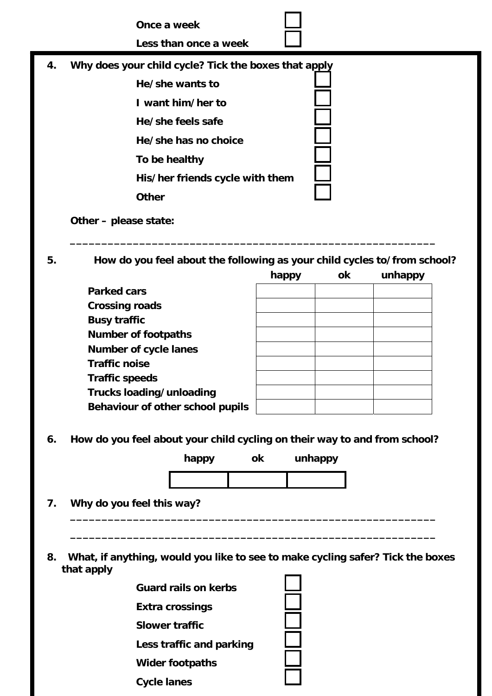**Once a week** 

 **Less than once a week** 

**4. Why does your child cycle? Tick the boxes that apply** 

 **He/she wants to I want him/her to He/she feels safe He/she has no choice To be healthy His/her friends cycle with them Other** 

 **Other – please state:** 

**5. How do you feel about the following as your child cycles to/from school?** 

 **\_\_\_\_\_\_\_\_\_\_\_\_\_\_\_\_\_\_\_\_\_\_\_\_\_\_\_\_\_\_\_\_\_\_\_\_\_\_\_\_\_\_\_\_\_\_\_\_\_\_\_\_\_\_\_\_\_\_** 

|                                  | happy | ok | unhappy |
|----------------------------------|-------|----|---------|
| <b>Parked cars</b>               |       |    |         |
| <b>Crossing roads</b>            |       |    |         |
| <b>Busy traffic</b>              |       |    |         |
| <b>Number of footpaths</b>       |       |    |         |
| <b>Number of cycle lanes</b>     |       |    |         |
| <b>Traffic noise</b>             |       |    |         |
| <b>Traffic speeds</b>            |       |    |         |
| Trucks loading/unloading         |       |    |         |
| Behaviour of other school pupils |       |    |         |

**6. How do you feel about your child cycling on their way to and from school?** 

 **\_\_\_\_\_\_\_\_\_\_\_\_\_\_\_\_\_\_\_\_\_\_\_\_\_\_\_\_\_\_\_\_\_\_\_\_\_\_\_\_\_\_\_\_\_\_\_\_\_\_\_\_\_\_\_\_\_\_** 



- **7. Why do you feel this way?**
- **8. What, if anything, would you like to see to make cycling safer? Tick the boxes that apply**

| <b>Guard rails on kerbs</b> |  |
|-----------------------------|--|
| <b>Extra crossings</b>      |  |
| <b>Slower traffic</b>       |  |
| Less traffic and parking    |  |
| <b>Wider footpaths</b>      |  |
| <b>Cycle lanes</b>          |  |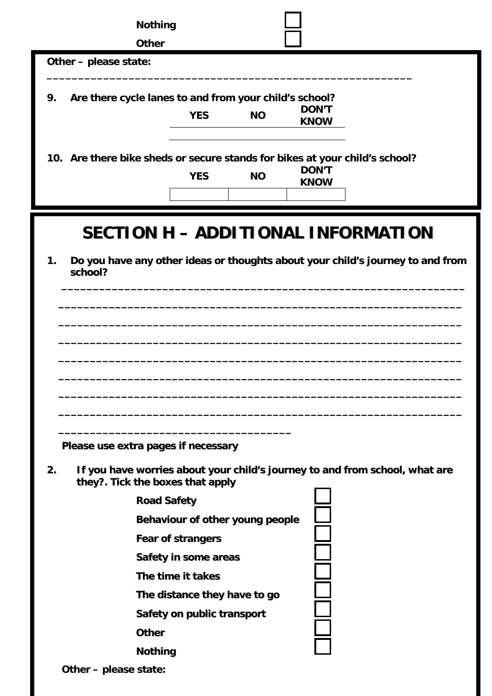| <b>Nothing</b>                                                                                                        |                             |
|-----------------------------------------------------------------------------------------------------------------------|-----------------------------|
| <b>Other</b>                                                                                                          |                             |
| Other - please state:                                                                                                 |                             |
| 9.<br>Are there cycle lanes to and from your child's school?<br><b>YES</b><br><b>NO</b>                               | <b>DON'T</b><br><b>KNOW</b> |
| 10. Are there bike sheds or secure stands for bikes at your child's school?<br><b>YES</b><br><b>NO</b>                | <b>DON'T</b><br><b>KNOW</b> |
| <b>SECTION H - ADDITIONAL INFORMATION</b>                                                                             |                             |
| Do you have any other ideas or thoughts about your child's journey to and from<br>1.<br>school?                       |                             |
|                                                                                                                       |                             |
|                                                                                                                       |                             |
|                                                                                                                       |                             |
|                                                                                                                       |                             |
|                                                                                                                       |                             |
| Please use extra pages if necessary                                                                                   |                             |
| If you have worries about your child's journey to and from school, what are<br>2.<br>they?. Tick the boxes that apply |                             |
| <b>Road Safety</b>                                                                                                    |                             |
| Behaviour of other young people                                                                                       |                             |
| <b>Fear of strangers</b>                                                                                              |                             |
| Safety in some areas                                                                                                  |                             |
| The time it takes<br>The distance they have to go                                                                     |                             |
| Safety on public transport                                                                                            |                             |
| <b>Other</b>                                                                                                          |                             |
| <b>Nothing</b>                                                                                                        |                             |

**Other – please state:**